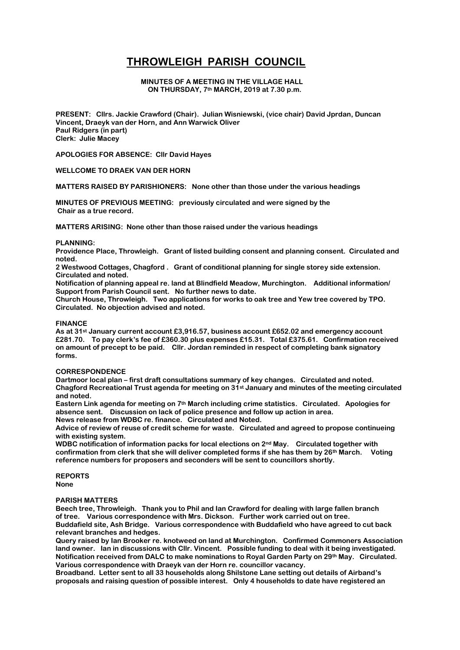# **THROWLEIGH PARISH COUNCIL**

## **MINUTES OF A MEETING IN THE VILLAGE HALL ON THURSDAY, 7th MARCH, 2019 at 7.30 p.m.**

**PRESENT: Cllrs. Jackie Crawford (Chair). Julian Wisniewski, (vice chair) David Jprdan, Duncan Vincent, Draeyk van der Horn, and Ann Warwick Oliver Paul Ridgers (in part) Clerk: Julie Macey**

**APOLOGIES FOR ABSENCE: Cllr David Hayes**

#### **WELLCOME TO DRAEK VAN DER HORN**

**MATTERS RAISED BY PARISHIONERS: None other than those under the various headings**

**MINUTES OF PREVIOUS MEETING: previously circulated and were signed by the Chair as a true record.**

**MATTERS ARISING: None other than those raised under the various headings**

#### **PLANNING:**

**Providence Place, Throwleigh. Grant of listed building consent and planning consent. Circulated and noted.**

**2 Westwood Cottages, Chagford . Grant of conditional planning for single storey side extension. Circulated and noted.**

**Notification of planning appeal re. land at Blindfield Meadow, Murchington. Additional information/ Support from Parish Council sent. No further news to date.**

**Church House, Throwleigh. Two applications for works to oak tree and Yew tree covered by TPO. Circulated. No objection advised and noted.**

#### **FINANCE**

**As at 31st January current account £3,916.57, business account £652.02 and emergency account £281.70. To pay clerk's fee of £360.30 plus expenses £15.31. Total £375.61. Confirmation received on amount of precept to be paid. Cllr. Jordan reminded in respect of completing bank signatory forms.** 

#### **CORRESPONDENCE**

**Dartmoor local plan – first draft consultations summary of key changes. Circulated and noted. Chagford Recreational Trust agenda for meeting on 31st January and minutes of the meeting circulated and noted.**

**Eastern Link agenda for meeting on 7th March including crime statistics. Circulated. Apologies for absence sent. Discussion on lack of police presence and follow up action in area.**

**News release from WDBC re. finance. Circulated and Noted.**

**Advice of review of reuse of credit scheme for waste. Circulated and agreed to propose continueing with existing system.**

**WDBC notification of information packs for local elections on 2nd May. Circulated together with confirmation from clerk that she will deliver completed forms if she has them by 26th March. Voting reference numbers for proposers and seconders will be sent to councillors shortly.** 

**REPORTS None**

#### **PARISH MATTERS**

**Beech tree, Throwleigh. Thank you to Phil and Ian Crawford for dealing with large fallen branch of tree. Various correspondence with Mrs. Dickson. Further work carried out on tree. Buddafield site, Ash Bridge. Various correspondence with Buddafield who have agreed to cut back relevant branches and hedges.**

**Query raised by Ian Brooker re. knotweed on land at Murchington. Confirmed Commoners Association land owner. Ian in discussions with Cllr. Vincent. Possible funding to deal with it being investigated. Notification received from DALC to make nominations to Royal Garden Party on 29th May. Circulated. Various correspondence with Draeyk van der Horn re. councillor vacancy.**

**Broadband. Letter sent to all 33 households along Shilstone Lane setting out details of Airband's proposals and raising question of possible interest. Only 4 households to date have registered an**